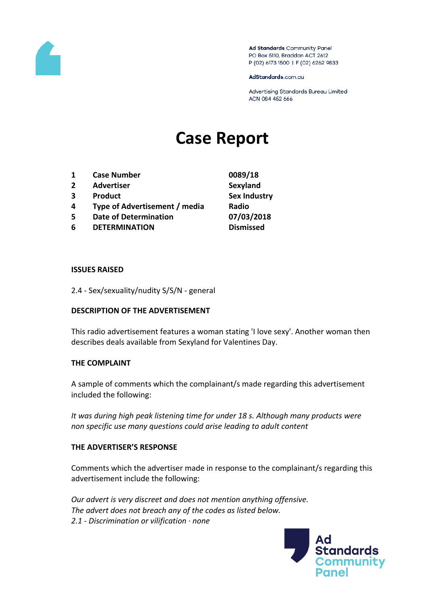

Ad Standards Community Panel PO Box 5110, Braddon ACT 2612 P (02) 6173 1500 | F (02) 6262 9833

AdStandards.com.au

Advertising Standards Bureau Limited ACN 084 452 666

# **Case Report**

- **1 Case Number 0089/18**
- **2 Advertiser Sexyland**
- **3 Product Sex Industry**
- **4 Type of Advertisement / media Radio**
- **5 Date of Determination 07/03/2018**
- **6 DETERMINATION Dismissed**

#### **ISSUES RAISED**

2.4 - Sex/sexuality/nudity S/S/N - general

### **DESCRIPTION OF THE ADVERTISEMENT**

This radio advertisement features a woman stating 'I love sexy'. Another woman then describes deals available from Sexyland for Valentines Day.

### **THE COMPLAINT**

A sample of comments which the complainant/s made regarding this advertisement included the following:

*It was during high peak listening time for under 18 s. Although many products were non specific use many questions could arise leading to adult content*

### **THE ADVERTISER'S RESPONSE**

Comments which the advertiser made in response to the complainant/s regarding this advertisement include the following:

*Our advert is very discreet and does not mention anything offensive. The advert does not breach any of the codes as listed below. 2.1 - Discrimination or vilification · none*

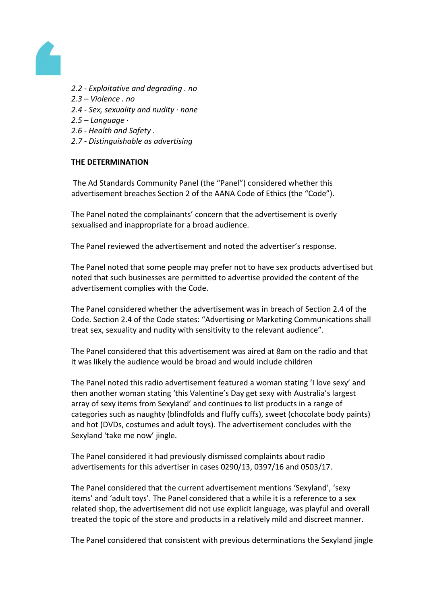

- *2.2 - Exploitative and degrading . no*
- *2.3 – Violence . no*
- *2.4 - Sex, sexuality and nudity · none*
- *2.5 – Language ·*
- *2.6 - Health and Safety .*
- *2.7 - Distinguishable as advertising*

## **THE DETERMINATION**

The Ad Standards Community Panel (the "Panel") considered whether this advertisement breaches Section 2 of the AANA Code of Ethics (the "Code").

The Panel noted the complainants' concern that the advertisement is overly sexualised and inappropriate for a broad audience.

The Panel reviewed the advertisement and noted the advertiser's response.

The Panel noted that some people may prefer not to have sex products advertised but noted that such businesses are permitted to advertise provided the content of the advertisement complies with the Code.

The Panel considered whether the advertisement was in breach of Section 2.4 of the Code. Section 2.4 of the Code states: "Advertising or Marketing Communications shall treat sex, sexuality and nudity with sensitivity to the relevant audience".

The Panel considered that this advertisement was aired at 8am on the radio and that it was likely the audience would be broad and would include children

The Panel noted this radio advertisement featured a woman stating 'I love sexy' and then another woman stating 'this Valentine's Day get sexy with Australia's largest array of sexy items from Sexyland' and continues to list products in a range of categories such as naughty (blindfolds and fluffy cuffs), sweet (chocolate body paints) and hot (DVDs, costumes and adult toys). The advertisement concludes with the Sexyland 'take me now' jingle.

The Panel considered it had previously dismissed complaints about radio advertisements for this advertiser in cases 0290/13, 0397/16 and 0503/17.

The Panel considered that the current advertisement mentions 'Sexyland', 'sexy items' and 'adult toys'. The Panel considered that a while it is a reference to a sex related shop, the advertisement did not use explicit language, was playful and overall treated the topic of the store and products in a relatively mild and discreet manner.

The Panel considered that consistent with previous determinations the Sexyland jingle